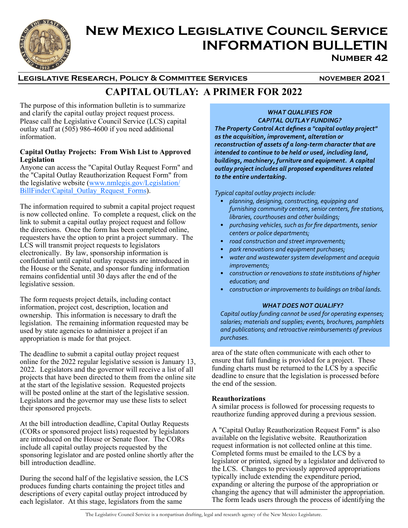

# **New Mexico Legislative Council Service INFORMATION BULLETIN Number 42**

# LEGISLATIVE RESEARCH, POLICY & COMMITTEE SERVICES **NOVEMBER 2021**

# **CAPITAL OUTLAY: A PRIMER FOR 2022**

The purpose of this information bulletin is to summarize and clarify the capital outlay project request process. Please call the Legislative Council Service (LCS) capital outlay staff at (505) 986-4600 if you need additional information.

#### **Capital Outlay Projects: From Wish List to Approved Legislation**

Anyone can access the "Capital Outlay Request Form" and the "Capital Outlay Reauthorization Request Form" from the legislative website (www.nmlegis.gov/Legislation/ BillFinder/Capital\_Outlay\_Request\_Forms).

The information required to submit a capital project request is now collected online. To complete a request, click on the link to submit a capital outlay project request and follow the directions. Once the form has been completed online, requesters have the option to print a project summary. The LCS will transmit project requests to legislators electronically. By law, sponsorship information is confidential until capital outlay requests are introduced in the House or the Senate, and sponsor funding information remains confidential until 30 days after the end of the legislative session.

The form requests project details, including contact information, project cost, description, location and ownership. This information is necessary to draft the legislation. The remaining information requested may be used by state agencies to administer a project if an appropriation is made for that project.

The deadline to submit a capital outlay project request online for the 2022 regular legislative session is January 13, 2022. Legislators and the governor will receive a list of all projects that have been directed to them from the online site at the start of the legislative session. Requested projects will be posted online at the start of the legislative session. Legislators and the governor may use these lists to select their sponsored projects.

At the bill introduction deadline, Capital Outlay Requests (CORs or sponsored project lists) requested by legislators are introduced on the House or Senate floor. The CORs include all capital outlay projects requested by the sponsoring legislator and are posted online shortly after the bill introduction deadline.

During the second half of the legislative session, the LCS produces funding charts containing the project titles and descriptions of every capital outlay project introduced by each legislator. At this stage, legislators from the same

## *WHAT QUALIFIES FOR CAPITAL OUTLAY FUNDING?*

*The Property Control Act defines a "capital outlay project" as the acquisition, improvement, alteration or reconstruction of assets of a long‐term character that are intended to continue to be held or used, including land, buildings, machinery, furniture and equipment. A capital outlay project includes all proposed expenditures related to the entire undertaking.* 

*Typical capital outlay projects include:* 

- *planning, designing, constructing, equipping and furnishing community centers, senior centers, fire stations, libraries, courthouses and other buildings;*
- *purchasing vehicles, such as for fire departments, senior centers or police departments;*
- *road construction and street improvements;*
- *park renovations and equipment purchases;*
- *water and wastewater system development and acequia improvements;*
- *construction or renovations to state institutions of higher education; and*
- *construction or improvements to buildings on tribal lands.*

### *WHAT DOES NOT QUALIFY?*

*Capital outlay funding cannot be used for operating expenses; salaries; materials and supplies; events, brochures, pamphlets and publications; and retroactive reimbursements of previous purchases.*

area of the state often communicate with each other to ensure that full funding is provided for a project. These funding charts must be returned to the LCS by a specific deadline to ensure that the legislation is processed before the end of the session.

### **Reauthorizations**

A similar process is followed for processing requests to reauthorize funding approved during a previous session.

A "Capital Outlay Reauthorization Request Form" is also available on the legislative website. Reauthorization request information is not collected online at this time. Completed forms must be emailed to the LCS by a legislator or printed, signed by a legislator and delivered to the LCS. Changes to previously approved appropriations typically include extending the expenditure period, expanding or altering the purpose of the appropriation or changing the agency that will administer the appropriation. The form leads users through the process of identifying the

The Legislative Council Service is a nonpartisan drafting, legal and research agency of the New Mexico Legislature.